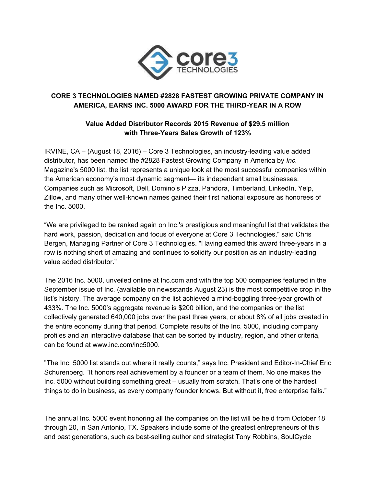

# **CORE 3 TECHNOLOGIES NAMED #2828 FASTEST GROWING PRIVATE COMPANY IN AMERICA, EARNS INC. 5000 AWARD FOR THE THIRDYEAR IN A ROW**

# **Value Added Distributor Records 2015 Revenue of \$29.5 million with ThreeYears Sales Growth of 123%**

IRVINE, CA – (August 18, 2016) – Core 3 Technologies, an industryleading value added distributor, has been named the #2828 Fastest Growing Company in America by *Inc.* Magazine's 5000 list. the list represents a unique look at the most successful companies within the American economy's most dynamic segment— its independent small businesses. Companies such as Microsoft, Dell, Domino's Pizza, Pandora, Timberland, LinkedIn, Yelp, Zillow, and many other well-known names gained their first national exposure as honorees of the Inc. 5000.

"We are privileged to be ranked again on Inc.'s prestigious and meaningful list that validates the hard work, passion, dedication and focus of everyone at Core 3 Technologies," said Chris Bergen, Managing Partner of Core 3 Technologies. "Having earned this award three-years in a row is nothing short of amazing and continues to solidify our position as an industry-leading value added distributor."

The 2016 Inc. 5000, unveiled online at Inc.com and with the top 500 companies featured in the September issue of Inc. (available on newsstands August 23) is the most competitive crop in the list's history. The average company on the list achieved a mind-boggling three-year growth of 433%. The Inc. 5000's aggregate revenue is \$200 billion, and the companies on the list collectively generated 640,000 jobs over the past three years, or about 8% of all jobs created in the entire economy during that period. Complete results of the Inc. 5000, including company profiles and an interactive database that can be sorted by industry, region, and other criteria, can be found at www.inc.com/inc5000.

"The Inc. 5000 list stands out where it really counts," says Inc. President and Editor-In-Chief Eric Schurenberg. "It honors real achievement by a founder or a team of them. No one makes the Inc. 5000 without building something great – usually from scratch. That's one of the hardest things to do in business, as every company founder knows. But without it, free enterprise fails."

The annual Inc. 5000 event honoring all the companies on the list will be held from October 18 through 20, in San Antonio, TX. Speakers include some of the greatest entrepreneurs of this and past generations, such as best-selling author and strategist Tony Robbins, SoulCycle